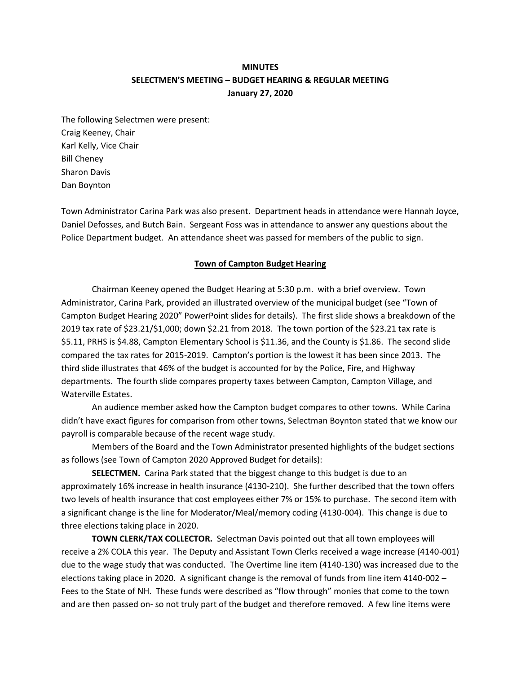# **MINUTES SELECTMEN'S MEETING – BUDGET HEARING & REGULAR MEETING January 27, 2020**

The following Selectmen were present: Craig Keeney, Chair Karl Kelly, Vice Chair Bill Cheney Sharon Davis Dan Boynton

Town Administrator Carina Park was also present. Department heads in attendance were Hannah Joyce, Daniel Defosses, and Butch Bain. Sergeant Foss was in attendance to answer any questions about the Police Department budget. An attendance sheet was passed for members of the public to sign.

#### **Town of Campton Budget Hearing**

Chairman Keeney opened the Budget Hearing at 5:30 p.m. with a brief overview. Town Administrator, Carina Park, provided an illustrated overview of the municipal budget (see "Town of Campton Budget Hearing 2020" PowerPoint slides for details). The first slide shows a breakdown of the 2019 tax rate of \$23.21/\$1,000; down \$2.21 from 2018. The town portion of the \$23.21 tax rate is \$5.11, PRHS is \$4.88, Campton Elementary School is \$11.36, and the County is \$1.86. The second slide compared the tax rates for 2015-2019. Campton's portion is the lowest it has been since 2013. The third slide illustrates that 46% of the budget is accounted for by the Police, Fire, and Highway departments. The fourth slide compares property taxes between Campton, Campton Village, and Waterville Estates.

An audience member asked how the Campton budget compares to other towns. While Carina didn't have exact figures for comparison from other towns, Selectman Boynton stated that we know our payroll is comparable because of the recent wage study.

Members of the Board and the Town Administrator presented highlights of the budget sections as follows (see Town of Campton 2020 Approved Budget for details):

**SELECTMEN.** Carina Park stated that the biggest change to this budget is due to an approximately 16% increase in health insurance (4130-210). She further described that the town offers two levels of health insurance that cost employees either 7% or 15% to purchase. The second item with a significant change is the line for Moderator/Meal/memory coding (4130-004). This change is due to three elections taking place in 2020.

**TOWN CLERK/TAX COLLECTOR.** Selectman Davis pointed out that all town employees will receive a 2% COLA this year. The Deputy and Assistant Town Clerks received a wage increase (4140-001) due to the wage study that was conducted. The Overtime line item (4140-130) was increased due to the elections taking place in 2020. A significant change is the removal of funds from line item 4140-002 – Fees to the State of NH. These funds were described as "flow through" monies that come to the town and are then passed on- so not truly part of the budget and therefore removed. A few line items were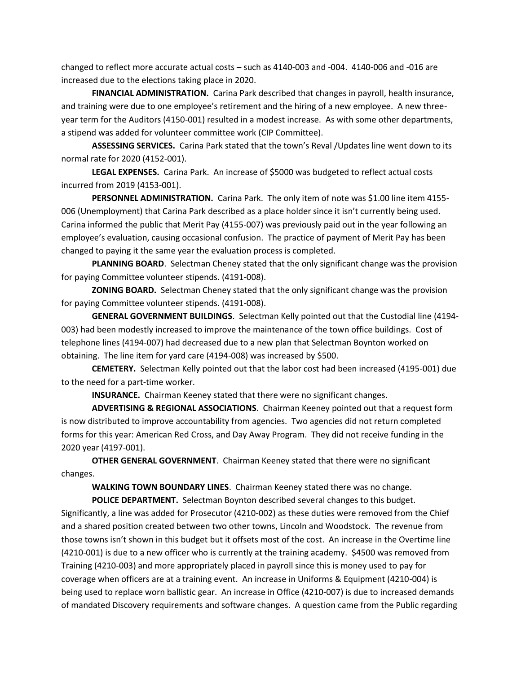changed to reflect more accurate actual costs – such as 4140-003 and -004. 4140-006 and -016 are increased due to the elections taking place in 2020.

**FINANCIAL ADMINISTRATION.** Carina Park described that changes in payroll, health insurance, and training were due to one employee's retirement and the hiring of a new employee. A new threeyear term for the Auditors (4150-001) resulted in a modest increase. As with some other departments, a stipend was added for volunteer committee work (CIP Committee).

**ASSESSING SERVICES.** Carina Park stated that the town's Reval /Updates line went down to its normal rate for 2020 (4152-001).

**LEGAL EXPENSES.** Carina Park. An increase of \$5000 was budgeted to reflect actual costs incurred from 2019 (4153-001).

**PERSONNEL ADMINISTRATION.** Carina Park. The only item of note was \$1.00 line item 4155- 006 (Unemployment) that Carina Park described as a place holder since it isn't currently being used. Carina informed the public that Merit Pay (4155-007) was previously paid out in the year following an employee's evaluation, causing occasional confusion. The practice of payment of Merit Pay has been changed to paying it the same year the evaluation process is completed.

**PLANNING BOARD**. Selectman Cheney stated that the only significant change was the provision for paying Committee volunteer stipends. (4191-008).

**ZONING BOARD.** Selectman Cheney stated that the only significant change was the provision for paying Committee volunteer stipends. (4191-008).

**GENERAL GOVERNMENT BUILDINGS**. Selectman Kelly pointed out that the Custodial line (4194- 003) had been modestly increased to improve the maintenance of the town office buildings. Cost of telephone lines (4194-007) had decreased due to a new plan that Selectman Boynton worked on obtaining. The line item for yard care (4194-008) was increased by \$500.

**CEMETERY.** Selectman Kelly pointed out that the labor cost had been increased (4195-001) due to the need for a part-time worker.

**INSURANCE.** Chairman Keeney stated that there were no significant changes.

**ADVERTISING & REGIONAL ASSOCIATIONS**. Chairman Keeney pointed out that a request form is now distributed to improve accountability from agencies. Two agencies did not return completed forms for this year: American Red Cross, and Day Away Program. They did not receive funding in the 2020 year (4197-001).

**OTHER GENERAL GOVERNMENT**. Chairman Keeney stated that there were no significant changes.

**WALKING TOWN BOUNDARY LINES**. Chairman Keeney stated there was no change.

**POLICE DEPARTMENT.** Selectman Boynton described several changes to this budget. Significantly, a line was added for Prosecutor (4210-002) as these duties were removed from the Chief and a shared position created between two other towns, Lincoln and Woodstock. The revenue from those towns isn't shown in this budget but it offsets most of the cost. An increase in the Overtime line (4210-001) is due to a new officer who is currently at the training academy. \$4500 was removed from Training (4210-003) and more appropriately placed in payroll since this is money used to pay for coverage when officers are at a training event. An increase in Uniforms & Equipment (4210-004) is being used to replace worn ballistic gear. An increase in Office (4210-007) is due to increased demands of mandated Discovery requirements and software changes. A question came from the Public regarding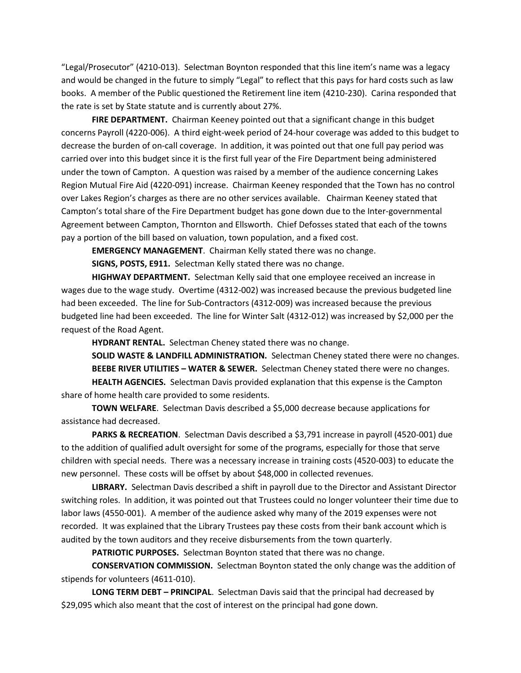"Legal/Prosecutor" (4210-013). Selectman Boynton responded that this line item's name was a legacy and would be changed in the future to simply "Legal" to reflect that this pays for hard costs such as law books. A member of the Public questioned the Retirement line item (4210-230). Carina responded that the rate is set by State statute and is currently about 27%.

FIRE DEPARTMENT. Chairman Keeney pointed out that a significant change in this budget concerns Payroll (4220-006). A third eight-week period of 24-hour coverage was added to this budget to decrease the burden of on-call coverage. In addition, it was pointed out that one full pay period was carried over into this budget since it is the first full year of the Fire Department being administered under the town of Campton. A question was raised by a member of the audience concerning Lakes Region Mutual Fire Aid (4220-091) increase. Chairman Keeney responded that the Town has no control over Lakes Region's charges as there are no other services available. Chairman Keeney stated that Campton's total share of the Fire Department budget has gone down due to the Inter-governmental Agreement between Campton, Thornton and Ellsworth. Chief Defosses stated that each of the towns pay a portion of the bill based on valuation, town population, and a fixed cost.

**EMERGENCY MANAGEMENT**. Chairman Kelly stated there was no change.

**SIGNS, POSTS, E911.** Selectman Kelly stated there was no change.

**HIGHWAY DEPARTMENT.** Selectman Kelly said that one employee received an increase in wages due to the wage study. Overtime (4312-002) was increased because the previous budgeted line had been exceeded. The line for Sub-Contractors (4312-009) was increased because the previous budgeted line had been exceeded. The line for Winter Salt (4312-012) was increased by \$2,000 per the request of the Road Agent.

**HYDRANT RENTAL.** Selectman Cheney stated there was no change.

**SOLID WASTE & LANDFILL ADMINISTRATION.** Selectman Cheney stated there were no changes. **BEEBE RIVER UTILITIES – WATER & SEWER.** Selectman Cheney stated there were no changes. **HEALTH AGENCIES.** Selectman Davis provided explanation that this expense is the Campton share of home health care provided to some residents.

**TOWN WELFARE**. Selectman Davis described a \$5,000 decrease because applications for assistance had decreased.

**PARKS & RECREATION**. Selectman Davis described a \$3,791 increase in payroll (4520-001) due to the addition of qualified adult oversight for some of the programs, especially for those that serve children with special needs. There was a necessary increase in training costs (4520-003) to educate the new personnel. These costs will be offset by about \$48,000 in collected revenues.

**LIBRARY.** Selectman Davis described a shift in payroll due to the Director and Assistant Director switching roles. In addition, it was pointed out that Trustees could no longer volunteer their time due to labor laws (4550-001). A member of the audience asked why many of the 2019 expenses were not recorded. It was explained that the Library Trustees pay these costs from their bank account which is audited by the town auditors and they receive disbursements from the town quarterly.

**PATRIOTIC PURPOSES.** Selectman Boynton stated that there was no change.

**CONSERVATION COMMISSION.** Selectman Boynton stated the only change was the addition of stipends for volunteers (4611-010).

**LONG TERM DEBT – PRINCIPAL**. Selectman Davis said that the principal had decreased by \$29,095 which also meant that the cost of interest on the principal had gone down.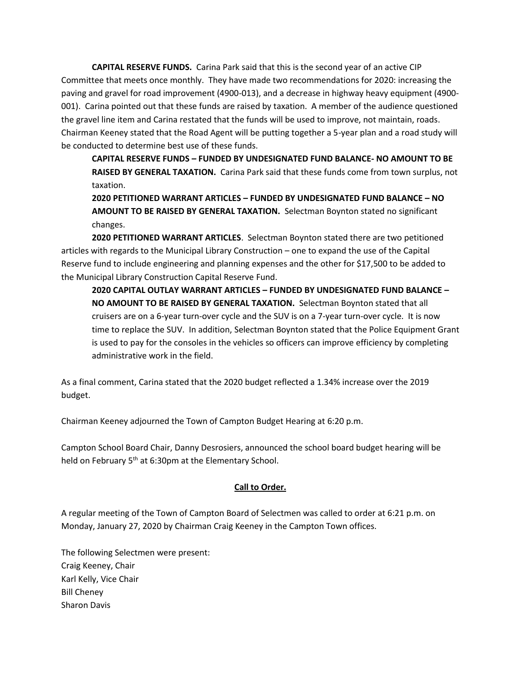**CAPITAL RESERVE FUNDS.** Carina Park said that this is the second year of an active CIP Committee that meets once monthly. They have made two recommendations for 2020: increasing the paving and gravel for road improvement (4900-013), and a decrease in highway heavy equipment (4900- 001). Carina pointed out that these funds are raised by taxation. A member of the audience questioned the gravel line item and Carina restated that the funds will be used to improve, not maintain, roads. Chairman Keeney stated that the Road Agent will be putting together a 5-year plan and a road study will be conducted to determine best use of these funds.

**CAPITAL RESERVE FUNDS – FUNDED BY UNDESIGNATED FUND BALANCE- NO AMOUNT TO BE RAISED BY GENERAL TAXATION.** Carina Park said that these funds come from town surplus, not taxation.

**2020 PETITIONED WARRANT ARTICLES – FUNDED BY UNDESIGNATED FUND BALANCE – NO AMOUNT TO BE RAISED BY GENERAL TAXATION.** Selectman Boynton stated no significant changes.

**2020 PETITIONED WARRANT ARTICLES**. Selectman Boynton stated there are two petitioned articles with regards to the Municipal Library Construction – one to expand the use of the Capital Reserve fund to include engineering and planning expenses and the other for \$17,500 to be added to the Municipal Library Construction Capital Reserve Fund.

**2020 CAPITAL OUTLAY WARRANT ARTICLES – FUNDED BY UNDESIGNATED FUND BALANCE – NO AMOUNT TO BE RAISED BY GENERAL TAXATION.** Selectman Boynton stated that all cruisers are on a 6-year turn-over cycle and the SUV is on a 7-year turn-over cycle. It is now time to replace the SUV. In addition, Selectman Boynton stated that the Police Equipment Grant is used to pay for the consoles in the vehicles so officers can improve efficiency by completing administrative work in the field.

As a final comment, Carina stated that the 2020 budget reflected a 1.34% increase over the 2019 budget.

Chairman Keeney adjourned the Town of Campton Budget Hearing at 6:20 p.m.

Campton School Board Chair, Danny Desrosiers, announced the school board budget hearing will be held on February 5<sup>th</sup> at 6:30pm at the Elementary School.

# **Call to Order.**

A regular meeting of the Town of Campton Board of Selectmen was called to order at 6:21 p.m. on Monday, January 27, 2020 by Chairman Craig Keeney in the Campton Town offices.

The following Selectmen were present: Craig Keeney, Chair Karl Kelly, Vice Chair Bill Cheney Sharon Davis